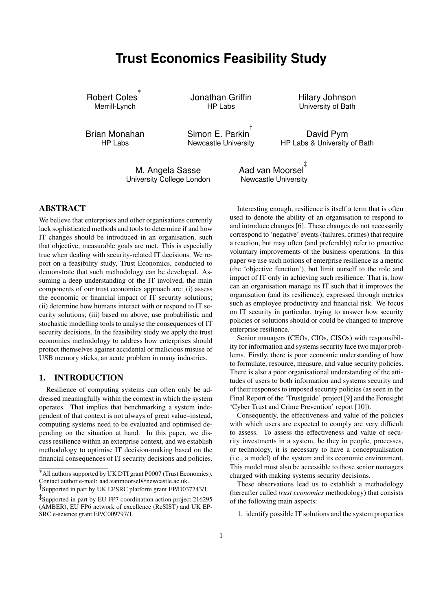# **Trust Economics Feasibility Study**

Robert Coles ∗ Merrill-Lynch

Jonathan Griffin HP Labs

Hilary Johnson University of Bath

Brian Monahan HP Labs

Simon E. Parkin † Newcastle University

David Pym HP Labs & University of Bath

M. Angela Sasse University College London Aad van Moorsel ‡ Newcastle University

## ABSTRACT

We believe that enterprises and other organisations currently lack sophisticated methods and tools to determine if and how IT changes should be introduced in an organisation, such that objective, measurable goals are met. This is especially true when dealing with security-related IT decisions. We report on a feasibility study, Trust Economics, conducted to demonstrate that such methodology can be developed. Assuming a deep understanding of the IT involved, the main components of our trust economics approach are: (i) assess the economic or financial impact of IT security solutions; (ii) determine how humans interact with or respond to IT security solutions; (iii) based on above, use probabilistic and stochastic modelling tools to analyse the consequences of IT security decisions. In the feasibility study we apply the trust economics methodology to address how enterprises should protect themselves against accidental or malicious misuse of USB memory sticks, an acute problem in many industries.

## 1. INTRODUCTION

Resilience of computing systems can often only be addressed meaningfully within the context in which the system operates. That implies that benchmarking a system independent of that context is not always of great value–instead, computing systems need to be evaluated and optimised depending on the situation at hand. In this paper, we discuss resilience within an exterprise context, and we establish methodology to optimise IT decision-making based on the financial consequences of IT security decisions and policies.

Interesting enough, resilience is itself a term that is often used to denote the ability of an organisation to respond to and introduce changes [6]. These changes do not necessarily correspond to 'negative' events (failures, crimes) that require a reaction, but may often (and preferably) refer to proactive voluntary improvements of the business operations. In this paper we use such notions of enterprise resilience as a metric (the 'objective function'), but limit ourself to the role and impact of IT only in achieving such resilience. That is, how can an organisation manage its IT such that it improves the organisation (and its resilience), expressed through metrics such as employee productivity and financial risk. We focus on IT security in particular, trying to answer how security policies or solutions should or could be changed to improve enterprise resilience.

Senior managers (CEOs, CIOs, CISOs) with responsibility for information and systems security face two major problems. Firstly, there is poor economic understanding of how to formulate, resource, measure, and value security policies. There is also a poor organisational understanding of the attitudes of users to both information and systems security and of their responses to imposed security policies (as seen in the Final Report of the 'Trustguide' project [9] and the Foresight 'Cyber Trust and Crime Prevention' report [10]).

Consequently, the effectiveness and value of the policies with which users are expected to comply are very difficult to assess. To assess the effectiveness and value of security investments in a system, be they in people, processes, or technology, it is necessary to have a conceptualisation (i.e., a model) of the system and its economic environment. This model must also be accessible to those senior managers charged with making systems security decisions.

These observations lead us to establish a methodology (hereafter called *trust economics* methodology) that consists of the following main aspects:

1. identify possible IT solutions and the system properties

<sup>∗</sup>All authors supported by UK DTI grant P0007 (Trust Economics). Contact author e-mail: aad.vanmoorsel@newcastle.ac.uk.

<sup>†</sup> Supported in part by UK EPSRC platform grant EP/D037743/1.

<sup>‡</sup> Supported in part by EU FP7 coordination action project 216295 (AMBER), EU FP6 network of excellence (ReSIST) and UK EP-SRC e-science grant EP/C009797/1.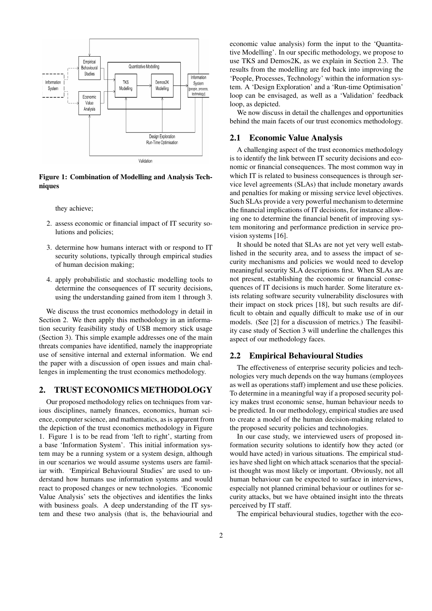

Figure 1: Combination of Modelling and Analysis Techniques

they achieve;

- 2. assess economic or financial impact of IT security solutions and policies;
- 3. determine how humans interact with or respond to IT security solutions, typically through empirical studies of human decision making;
- 4. apply probabilistic and stochastic modelling tools to determine the consequences of IT security decisions, using the understanding gained from item 1 through 3.

We discuss the trust economics methodology in detail in Section 2. We then apply this methodology in an information security feasibility study of USB memory stick usage (Section 3). This simple example addresses one of the main threats companies have identified, namely the inappropriate use of sensitive internal and external information. We end the paper with a discussion of open issues and main challenges in implementing the trust economics methodology.

## 2. TRUST ECONOMICS METHODOLOGY

Our proposed methodology relies on techniques from various disciplines, namely finances, economics, human science, computer science, and mathematics, as is apparent from the depiction of the trust economics methodology in Figure 1. Figure 1 is to be read from 'left to right', starting from a base 'Information System'. This initial information system may be a running system or a system design, although in our scenarios we would assume systems users are familiar with. 'Empirical Behavioural Studies' are used to understand how humans use information systems and would react to proposed changes or new technologies. 'Economic Value Analysis' sets the objectives and identifies the links with business goals. A deep understanding of the IT system and these two analysis (that is, the behaviourial and

economic value analysis) form the input to the 'Quantitative Modelling'. In our specific methodology, we propose to use TKS and Demos2K, as we explain in Section 2.3. The results from the modelling are fed back into improving the 'People, Processes, Technology' within the information system. A 'Design Exploration' and a 'Run-time Optimisation' loop can be envisaged, as well as a 'Validation' feedback loop, as depicted.

We now discuss in detail the challenges and opportunities behind the main facets of our trust economics methodology.

#### 2.1 Economic Value Analysis

A challenging aspect of the trust economics methodology is to identify the link between IT security decisions and economic or financial consequences. The most common way in which IT is related to business consequences is through service level agreements (SLAs) that include monetary awards and penalties for making or missing service level objectives. Such SLAs provide a very powerful mechanism to determine the financial implications of IT decisions, for instance allowing one to determine the financial benefit of improving system monitoring and performance prediction in service provision systems [16].

It should be noted that SLAs are not yet very well established in the security area, and to assess the impact of security mechanisms and policies we would need to develop meaningful security SLA descriptions first. When SLAs are not present, establishing the economic or financial consequences of IT decisions is much harder. Some literature exists relating software security vulnerability disclosures with their impact on stock prices [18], but such results are difficult to obtain and equally difficult to make use of in our models. (See [2] for a discussion of metrics.) The feasibility case study of Section 3 will underline the challenges this aspect of our methodology faces.

#### 2.2 Empirical Behavioural Studies

The effectiveness of enterprise security policies and technologies very much depends on the way humans (employees as well as operations staff) implement and use these policies. To determine in a meaningful way if a proposed security policy makes trust economic sense, human behaviour needs to be predicted. In our methodology, empirical studies are used to create a model of the human decision-making related to the proposed security policies and technologies.

In our case study, we interviewed users of proposed information security solutions to identify how they acted (or would have acted) in various situations. The empirical studies have shed light on which attack scenarios that the specialist thought was most likely or important. Obviously, not all human behaviour can be expected to surface in interviews, especially not planned criminal behaviour or outlines for security attacks, but we have obtained insight into the threats perceived by IT staff.

The empirical behavioural studies, together with the eco-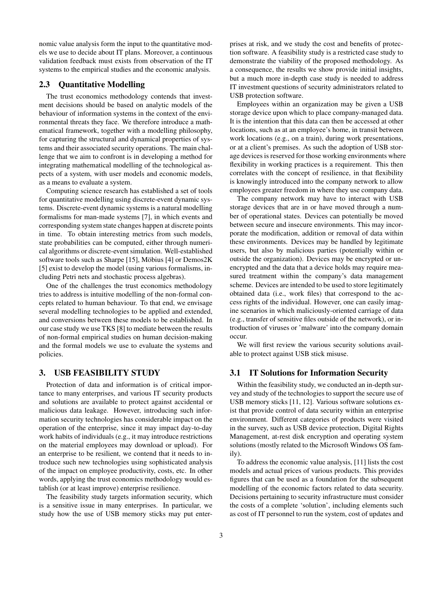nomic value analysis form the input to the quantitative models we use to decide about IT plans. Moreover, a continuous validation feedback must exists from observation of the IT systems to the empirical studies and the economic analysis.

## 2.3 Quantitative Modelling

The trust economics methodology contends that investment decisions should be based on analytic models of the behaviour of information systems in the context of the environmental threats they face. We therefore introduce a mathematical framework, together with a modelling philosophy, for capturing the structural and dynamical properties of systems and their associated security operations. The main challenge that we aim to confront is in developing a method for integrating mathematical modelling of the technological aspects of a system, with user models and economic models, as a means to evaluate a system.

Computing science research has established a set of tools for quantitative modelling using discrete-event dynamic systems. Discrete-event dynamic systems is a natural modelling formalisms for man-made systems [7], in which events and corresponding system state changes happen at discrete points in time. To obtain interesting metrics from such models, state probabilities can be computed, either through numerical algorithms or discrete-event simulation. Well-established software tools such as Sharpe [15], Möbius [4] or Demos2K [5] exist to develop the model (using various formalisms, including Petri nets and stochastic process algebras).

One of the challenges the trust economics methodology tries to address is intuitive modelling of the non-formal concepts related to human behaviour. To that end, we envisage several modelling technologies to be applied and extended, and conversions between these models to be established. In our case study we use TKS [8] to mediate between the results of non-formal empirical studies on human decision-making and the formal models we use to evaluate the systems and policies.

## 3. USB FEASIBILITY STUDY

Protection of data and information is of critical importance to many enterprises, and various IT security products and solutions are available to protect against accidental or malicious data leakage. However, introducing such information security technologies has considerable impact on the operation of the enterprise, since it may impact day-to-day work habits of individuals (e.g., it may introduce restrictions on the material employees may download or upload). For an enterprise to be resilient, we contend that it needs to introduce such new technologies using sophisticated analysis of the impact on employee productivity, costs, etc. In other words, applying the trust economics methodology would establish (or at least improve) enterprise resilience.

The feasibility study targets information security, which is a sensitive issue in many enterprises. In particular, we study how the use of USB memory sticks may put enter-

prises at risk, and we study the cost and benefits of protection software. A feasibility study is a restricted case study to demonstrate the viability of the proposed methodology. As a consequence, the results we show provide initial insights, but a much more in-depth case study is needed to address IT investment questions of security administrators related to USB protection software.

Employees within an organization may be given a USB storage device upon which to place company-managed data. It is the intention that this data can then be accessed at other locations, such as at an employee's home, in transit between work locations (e.g., on a train), during work presentations, or at a client's premises. As such the adoption of USB storage devices is reserved for those working environments where flexibility in working practices is a requirement. This then correlates with the concept of resilience, in that flexibility is knowingly introduced into the company network to allow employees greater freedom in where they use company data.

The company network may have to interact with USB storage devices that are in or have moved through a number of operational states. Devices can potentially be moved between secure and insecure environments. This may incorporate the modification, addition or removal of data within these environments. Devices may be handled by legitimate users, but also by malicious parties (potentially within or outside the organization). Devices may be encrypted or unencrypted and the data that a device holds may require measured treatment within the company's data management scheme. Devices are intended to be used to store legitimately obtained data (i.e., work files) that correspond to the access rights of the individual. However, one can easily imagine scenarios in which maliciously-oriented carriage of data (e.g., transfer of sensitive files outside of the network), or introduction of viruses or 'malware' into the company domain occur.

We will first review the various security solutions available to protect against USB stick misuse.

#### 3.1 IT Solutions for Information Security

Within the feasibility study, we conducted an in-depth survey and study of the technologies to support the secure use of USB memory sticks [11, 12]. Various software solutions exist that provide control of data security within an enterprise environment. Different categories of products were visited in the survey, such as USB device protection, Digital Rights Management, at-rest disk encryption and operating system solutions (mostly related to the Microsoft Windows OS family).

To address the economic value analysis, [11] lists the cost models and actual prices of various products. This provides figures that can be used as a foundation for the subsequent modelling of the economic factors related to data security. Decisions pertaining to security infrastructure must consider the costs of a complete 'solution', including elements such as cost of IT personnel to run the system, cost of updates and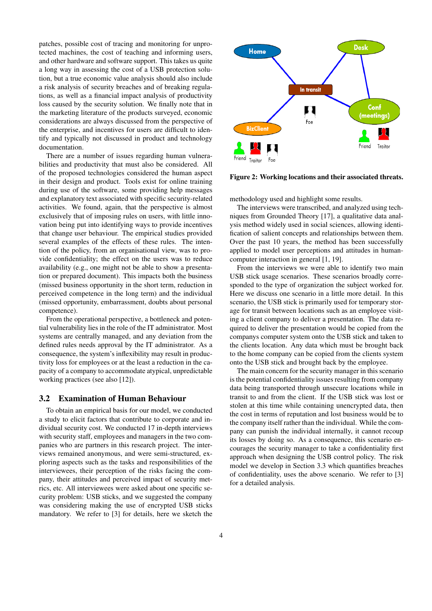patches, possible cost of tracing and monitoring for unprotected machines, the cost of teaching and informing users, and other hardware and software support. This takes us quite a long way in assessing the cost of a USB protection solution, but a true economic value analysis should also include a risk analysis of security breaches and of breaking regulations, as well as a financial impact analysis of productivity loss caused by the security solution. We finally note that in the marketing literature of the products surveyed, economic considerations are always discussed from the perspective of the enterprise, and incentives for users are difficult to identify and typically not discussed in product and technology documentation.

There are a number of issues regarding human vulnerabilities and productivity that must also be considered. All of the proposed technologies considered the human aspect in their design and product. Tools exist for online training during use of the software, some providing help messages and explanatory text associated with specific security-related activities. We found, again, that the perspective is almost exclusively that of imposing rules on users, with little innovation being put into identifying ways to provide incentives that change user behaviour. The empirical studies provided several examples of the effects of these rules. The intention of the policy, from an organisational view, was to provide confidentiality; the effect on the users was to reduce availability (e.g., one might not be able to show a presentation or prepared document). This impacts both the business (missed business opportunity in the short term, reduction in perceived competence in the long term) and the individual (missed opportunity, embarrassment, doubts about personal competence).

From the operational perspective, a bottleneck and potential vulnerability lies in the role of the IT administrator. Most systems are centrally managed, and any deviation from the defined rules needs approval by the IT administrator. As a consequence, the system's inflexibility may result in productivity loss for employees or at the least a reduction in the capacity of a company to accommodate atypical, unpredictable working practices (see also [12]).

#### 3.2 Examination of Human Behaviour

To obtain an empirical basis for our model, we conducted a study to elicit factors that contribute to corporate and individual security cost. We conducted 17 in-depth interviews with security staff, employees and managers in the two companies who are partners in this research project. The interviews remained anonymous, and were semi-structured, exploring aspects such as the tasks and responsibilities of the interviewees, their perception of the risks facing the company, their attitudes and perceived impact of security metrics, etc. All interviewees were asked about one specific security problem: USB sticks, and we suggested the company was considering making the use of encrypted USB sticks mandatory. We refer to [3] for details, here we sketch the



Figure 2: Working locations and their associated threats.

methodology used and highlight some results.

The interviews were transcribed, and analyzed using techniques from Grounded Theory [17], a qualitative data analysis method widely used in social sciences, allowing identification of salient concepts and relationships between them. Over the past 10 years, the method has been successfully applied to model user perceptions and attitudes in humancomputer interaction in general [1, 19].

From the interviews we were able to identify two main USB stick usage scenarios. These scenarios broadly corresponded to the type of organization the subject worked for. Here we discuss one scenario in a little more detail. In this scenario, the USB stick is primarily used for temporary storage for transit between locations such as an employee visiting a client company to deliver a presentation. The data required to deliver the presentation would be copied from the companys computer system onto the USB stick and taken to the clients location. Any data which must be brought back to the home company can be copied from the clients system onto the USB stick and brought back by the employee.

The main concern for the security manager in this scenario is the potential confidentiality issues resulting from company data being transported through unsecure locations while in transit to and from the client. If the USB stick was lost or stolen at this time while containing unencrypted data, then the cost in terms of reputation and lost business would be to the company itself rather than the individual. While the company can punish the individual internally, it cannot recoup its losses by doing so. As a consequence, this scenario encourages the security manager to take a confidentiality first approach when designing the USB control policy. The risk model we develop in Section 3.3 which quantifies breaches of confidentiality, uses the above scenario. We refer to [3] for a detailed analysis.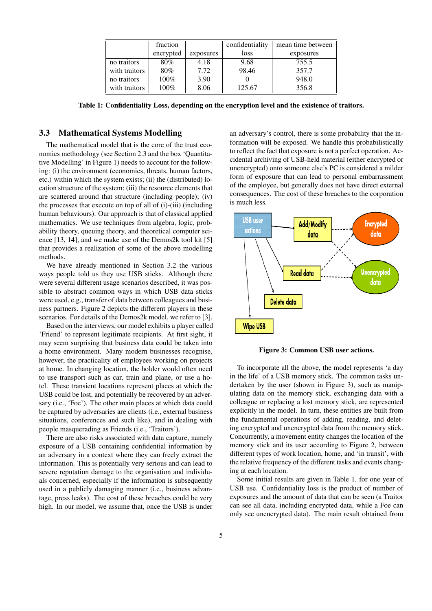|               | fraction  |           | confidentiality | mean time between |
|---------------|-----------|-----------|-----------------|-------------------|
|               | encrypted | exposures | loss            | exposures         |
| no traitors   | 80%       | 4.18      | 9.68            | 755.5             |
| with traitors | 80%       | 7.72      | 98.46           | 357.7             |
| no traitors   | 100%      | 3.90      |                 | 948.0             |
| with traitors | 100%      | 8.06      | 125.67          | 356.8             |

Table 1: Confidentiality Loss, depending on the encryption level and the existence of traitors.

#### 3.3 Mathematical Systems Modelling

The mathematical model that is the core of the trust economics methodology (see Section 2.3 and the box 'Quantitative Modelling' in Figure 1) needs to account for the following: (i) the environment (economics, threats, human factors, etc.) within which the system exists; (ii) the (distributed) location structure of the system; (iii) the resource elements that are scattered around that structure (including people); (iv) the processes that execute on top of all of (i)-(iii) (including human behaviours). Our approach is that of classical applied mathematics. We use techniques from algebra, logic, probability theory, queuing theory, and theoretical computer science [13, 14], and we make use of the Demos2k tool kit [5] that provides a realization of some of the above modelling methods.

We have already mentioned in Section 3.2 the various ways people told us they use USB sticks. Although there were several different usage scenarios described, it was possible to abstract common ways in which USB data sticks were used, e.g., transfer of data between colleagues and business partners. Figure 2 depicts the different players in these scenarios. For details of the Demos2k model, we refer to [3].

Based on the interviews, our model exhibits a player called 'Friend' to represent legitimate recipients. At first sight, it may seem surprising that business data could be taken into a home environment. Many modern businesses recognise, however, the practicality of employees working on projects at home. In changing location, the holder would often need to use transport such as car, train and plane, or use a hotel. These transient locations represent places at which the USB could be lost, and potentially be recovered by an adversary (i.e., 'Foe'). The other main places at which data could be captured by adversaries are clients (i.e., external business situations, conferences and such like), and in dealing with people masquerading as Friends (i.e., 'Traitors').

There are also risks associated with data capture, namely exposure of a USB containing confidential information by an adversary in a context where they can freely extract the information. This is potentially very serious and can lead to severe reputation damage to the organisation and individuals concerned, especially if the information is subsequently used in a publicly damaging manner (i.e., business advantage, press leaks). The cost of these breaches could be very high. In our model, we assume that, once the USB is under

an adversary's control, there is some probability that the information will be exposed. We handle this probabilistically to reflect the fact that exposure is not a perfect operation. Accidental archiving of USB-held material (either encrypted or unencrypted) onto someone else's PC is considered a milder form of exposure that can lead to personal embarrassment of the employee, but generally does not have direct external consequences. The cost of these breaches to the corporation is much less.



Figure 3: Common USB user actions.

To incorporate all the above, the model represents 'a day in the life' of a USB memory stick. The common tasks undertaken by the user (shown in Figure 3), such as manipulating data on the memory stick, exchanging data with a colleague or replacing a lost memory stick, are represented explicitly in the model. In turn, these entities are built from the fundamental operations of adding, reading, and deleting encrypted and unencrypted data from the memory stick. Concurrently, a movement entity changes the location of the memory stick and its user according to Figure 2, between different types of work location, home, and 'in transit', with the relative frequency of the different tasks and events changing at each location.

Some initial results are given in Table 1, for one year of USB use. Confidentiality loss is the product of number of exposures and the amount of data that can be seen (a Traitor can see all data, including encrypted data, while a Foe can only see unencrypted data). The main result obtained from